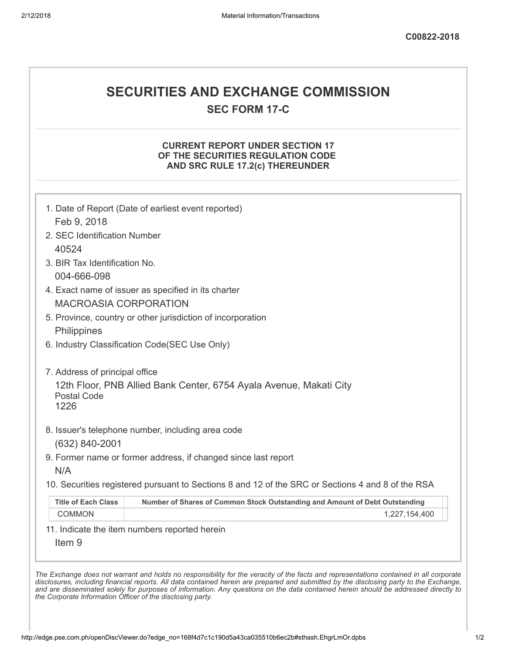# SECURITIES AND EXCHANGE COMMISSION

SEC FORM 17-C

### CURRENT REPORT UNDER SECTION 17 OF THE SECURITIES REGULATION CODE AND SRC RULE 17.2(c) THEREUNDER

| Feb 9, 2018                    |                                                                                                   |
|--------------------------------|---------------------------------------------------------------------------------------------------|
| 2. SEC Identification Number   |                                                                                                   |
| 40524                          |                                                                                                   |
| 3. BIR Tax Identification No.  |                                                                                                   |
| 004-666-098                    |                                                                                                   |
|                                | 4. Exact name of issuer as specified in its charter                                               |
| <b>MACROASIA CORPORATION</b>   |                                                                                                   |
|                                | 5. Province, country or other jurisdiction of incorporation                                       |
| Philippines                    |                                                                                                   |
|                                | 6. Industry Classification Code(SEC Use Only)                                                     |
| 7. Address of principal office |                                                                                                   |
|                                | 12th Floor, PNB Allied Bank Center, 6754 Ayala Avenue, Makati City                                |
| <b>Postal Code</b><br>1226     |                                                                                                   |
|                                |                                                                                                   |
|                                | 8. Issuer's telephone number, including area code                                                 |
| (632) 840-2001                 |                                                                                                   |
|                                | 9. Former name or former address, if changed since last report                                    |
| N/A                            |                                                                                                   |
|                                | 10. Securities registered pursuant to Sections 8 and 12 of the SRC or Sections 4 and 8 of the RSA |
| <b>Title of Each Class</b>     | Number of Shares of Common Stock Outstanding and Amount of Debt Outstanding                       |
| <b>COMMON</b>                  | 1,227,154,400                                                                                     |
|                                | 11. Indicate the item numbers reported herein                                                     |
|                                |                                                                                                   |
| Item <sub>9</sub>              |                                                                                                   |

the Corporate Information Officer of the disclosing party.